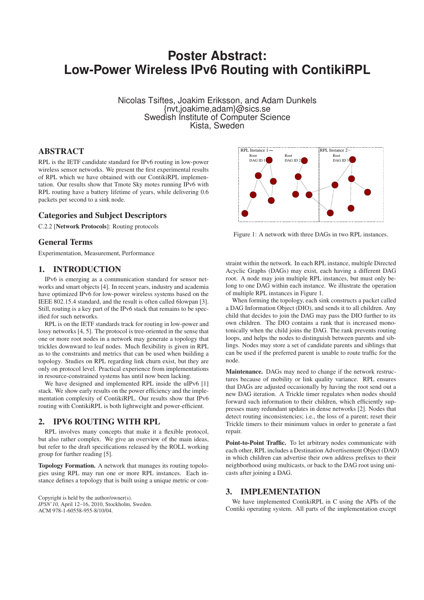# **Poster Abstract: Low-Power Wireless IPv6 Routing with ContikiRPL**

Nicolas Tsiftes, Joakim Eriksson, and Adam Dunkels {nvt,joakime,adam}@sics.se Swedish Institute of Computer Science Kista, Sweden

## ABSTRACT

RPL is the IETF candidate standard for IPv6 routing in low-power wireless sensor networks. We present the first experimental results of RPL which we have obtained with our ContikiRPL implementation. Our results show that Tmote Sky motes running IPv6 with RPL routing have a battery lifetime of years, while delivering 0.6 packets per second to a sink node.

## Categories and Subject Descriptors

C.2.2 [Network Protocols]: Routing protocols

## General Terms

Experimentation, Measurement, Performance

#### 1. INTRODUCTION

IPv6 is emerging as a communication standard for sensor networks and smart objects [4]. In recent years, industry and academia have optimized IPv6 for low-power wireless systems based on the IEEE 802.15.4 standard, and the result is often called 6lowpan [3]. Still, routing is a key part of the IPv6 stack that remains to be specified for such networks.

RPL is on the IETF standards track for routing in low-power and lossy networks [4, 5]. The protocol is tree-oriented in the sense that one or more root nodes in a network may generate a topology that trickles downward to leaf nodes. Much flexibility is given in RPL as to the constraints and metrics that can be used when building a topology. Studies on RPL regarding link churn exist, but they are only on protocol level. Practical experience from implementations in resource-constrained systems has until now been lacking.

We have designed and implemented RPL inside the uIPv6 [1] stack. We show early results on the power efficiency and the implementation complexity of ContikiRPL. Our results show that IPv6 routing with ContikiRPL is both lightweight and power-efficient.

#### 2. IPV6 ROUTING WITH RPL

RPL involves many concepts that make it a flexible protocol, but also rather complex. We give an overview of the main ideas, but refer to the draft specifications released by the ROLL working group for further reading [5].

Topology Formation. A network that manages its routing topologies using RPL may run one or more RPL instances. Each instance defines a topology that is built using a unique metric or con-

Copyright is held by the author/owner(s). *IPSN'10,* April 12–16, 2010, Stockholm, Sweden. ACM 978-1-60558-955-8/10/04.



Figure 1: A network with three DAGs in two RPL instances.

straint within the network. In each RPL instance, multiple Directed Acyclic Graphs (DAGs) may exist, each having a different DAG root. A node may join multiple RPL instances, but must only belong to one DAG within each instance. We illustrate the operation of multiple RPL instances in Figure 1.

When forming the topology, each sink constructs a packet called a DAG Information Object (DIO), and sends it to all children. Any child that decides to join the DAG may pass the DIO further to its own children. The DIO contains a rank that is increased monotonically when the child joins the DAG. The rank prevents routing loops, and helps the nodes to distinguish between parents and siblings. Nodes may store a set of candidate parents and siblings that can be used if the preferred parent is unable to route traffic for the node.

Maintenance. DAGs may need to change if the network restructures because of mobility or link quality variance. RPL ensures that DAGs are adjusted occasionally by having the root send out a new DAG iteration. A Trickle timer regulates when nodes should forward such information to their children, which efficiently suppresses many redundant updates in dense networks [2]. Nodes that detect routing inconsistencies; i.e., the loss of a parent; reset their Trickle timers to their minimum values in order to generate a fast repair.

Point-to-Point Traffic. To let arbitrary nodes communicate with each other, RPL includes a Destination Advertisement Object (DAO) in which children can advertise their own address prefixes to their neighborhood using multicasts, or back to the DAG root using unicasts after joining a DAG.

#### 3. IMPLEMENTATION

We have implemented ContikiRPL in C using the APIs of the Contiki operating system. All parts of the implementation except